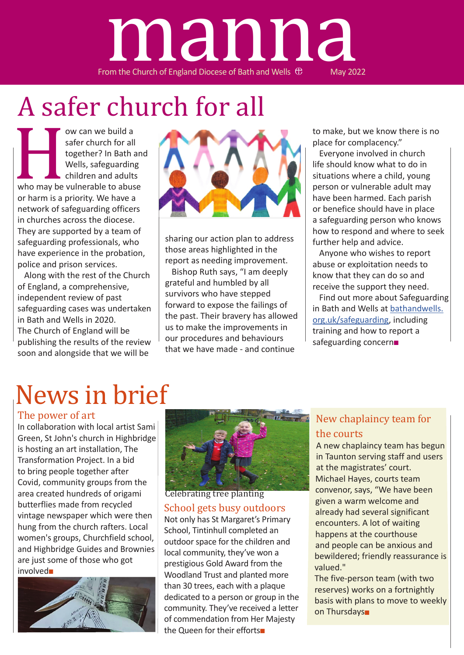# From the Church of England Diocese of Bath and Wells  $\oplus$  May 2022 manna

# A safer church for all

ow can we build a<br>safer church for all<br>together? In Bath a<br>Wells, safeguarding<br>children and adults<br>or harm is a priority. We have a<br>network of safeguarding officer safer church for all together? In Bath and Wells, safeguarding children and adults who may be vulnerable to abuse or harm is a priority. We have a network of safeguarding officers in churches across the diocese. They are supported by a team of safeguarding professionals, who have experience in the probation, police and prison services.

Along with the rest of the Church of England, a comprehensive, independent review of past safeguarding cases was undertaken in Bath and Wells in 2020. The Church of England will be publishing the results of the review soon and alongside that we will be



sharing our action plan to address those areas highlighted in the report as needing improvement.

Bishop Ruth says, "I am deeply grateful and humbled by all survivors who have stepped forward to expose the failings of the past. Their bravery has allowed us to make the improvements in our procedures and behaviours that we have made - and continue

to make, but we know there is no place for complacency."

Everyone involved in church life should know what to do in situations where a child, young person or vulnerable adult may have been harmed. Each parish or benefice should have in place a safeguarding person who knows how to respond and where to seek further help and advice.

Anyone who wishes to report abuse or exploitation needs to know that they can do so and receive the support they need.

Find out more about Safeguarding in Bath and Wells at bathandwells. org.uk/safeguarding, including training and how to report a safeguarding concern■

# News in brief

### The power of art

In collaboration with local artist Sami Green, St John's church in Highbridge is hosting an art installation, The Transformation Project. In a bid to bring people together after Covid, community groups from the area created hundreds of origami butterflies made from recycled vintage newspaper which were then hung from the church rafters. Local women's groups, Churchfield school, and Highbridge Guides and Brownies are just some of those who got involved■





School gets busy outdoors Celebrating tree planting

Not only has St Margaret's Primary School, Tintinhull completed an outdoor space for the children and local community, they've won a prestigious Gold Award from the Woodland Trust and planted more than 30 trees, each with a plaque dedicated to a person or group in the community. They've received a letter of commendation from Her Majesty the Queen for their efforts■

### New chaplaincy team for the courts

A new chaplaincy team has begun in Taunton serving staff and users at the magistrates' court. Michael Hayes, courts team convenor, says, "We have been given a warm welcome and already had several significant encounters. A lot of waiting happens at the courthouse and people can be anxious and bewildered; friendly reassurance is valued."

The five-person team (with two reserves) works on a fortnightly basis with plans to move to weekly on Thursdays■